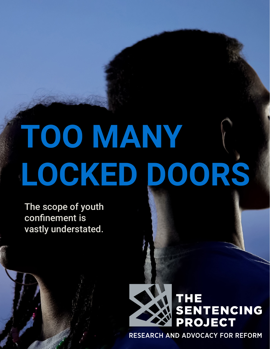# **TOO MANY LOCKED DOORS**

The scope of youth confinement is vastly understated.



**RESEARCH AND ADVOCACY FOR REFORM**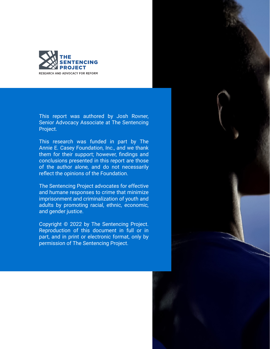

This report was authored by Josh Rovner, Senior Advocacy Associate at The Sentencing Project.

This research was funded in part by The Annie E. Casey Foundation, Inc., and we thank them for their support; however, findings and conclusions presented in this report are those of the author alone, and do not necessarily reflect the opinions of the Foundation.

The Sentencing Project advocates for effective and humane responses to crime that minimize imprisonment and criminalization of youth and adults by promoting racial, ethnic, economic, and gender justice.

Copyright © 2022 by The Sentencing Project. Reproduction of this document in full or in part, and in print or electronic format, only by permission of The Sentencing Project.

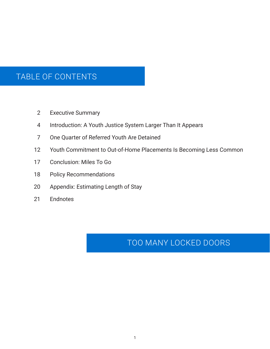## TABLE OF CONTENTS

- Executive Summary 2
- Introduction: A Youth Justice System Larger Than It Appears 4
- One Quarter of Referred Youth Are Detained 7
- Youth Commitment to Out-of-Home Placements Is Becoming Less Common 12
- Conclusion: Miles To Go 17
- Policy Recommendations 18
- Appendix: Estimating Length of Stay 20
- **Endnotes** 21

## TOO MANY LOCKED DOORS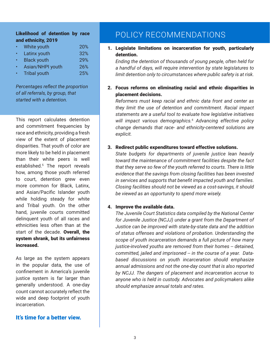#### <span id="page-4-0"></span>Likelihood of detention by race and ethnicity, 2019

| $\bullet$ | White youth         | <b>20%</b> |
|-----------|---------------------|------------|
| $\bullet$ | Latinx youth        | 32%        |
| $\bullet$ | <b>Black youth</b>  | 29%        |
| $\bullet$ | Asian/NHPI youth    | 26%        |
| $\bullet$ | <b>Tribal youth</b> | 25%        |

#### 4IVGIRXEKIWVIIGXXLITVSTSVXMSR **SJEPPVIJIVVEPWFKVSYTXLEX** WXEVXIHMXLEHIXIRXMSR

This report calculates detention and commitment frequencies by race and ethnicity, providing a fresh view of the extent of placement disparities. That youth of color are more likely to be held in placement than their white peers is well established[.5](#page-22-0) The report reveals how, among those youth referred to court, detention grew even more common for Black, Latinx, ERH %WMER4EGM&-WPERHIV \$YXL while holding steady for white and Tribal youth. On the other hand, juvenile courts committed delinquent youth of all races and ethnicities less often than at the start of the decade. Overall, the system shrank, but its unfairness increased.

As large as the system appears in the popular data, the use of GSRØRIRX MR % QIVMGE W. NYZIRMPI justice system is far larger than generally understood. A one-day **GSYRXGERRSXEGGYVEXIPVIIGXXLI** wide and deep footprint of youth incarceration.

#### It's time for a better view.

## POLICY RECOMMENDATIONS

- 1. Legislate limitations on incarceration for youth, particularly detention. RRLINRSRSLSRSSRTISTISIRLIS LRSWUIRIIRSRFIIIS **MRSRSRSRILITTFIOM**
- 2. Focus reforms on eliminating racial and ethnic disparities in placement decisions. **ISIXOIITIRILRISRRIRIN** LINLIN SHIRSR RISIRNT **IIRIUSSSIILSIIRI**  *%HZERGMK IJGXMZI TSPMG]* **MT MSM STLM** *GLERKI HIQERHW XLE VEGI ERH IXLRMGX]GIRXVIH WSPYXMSRW EVI*  $\boxtimes$ *I\TPMGX*
- 3. Redirect public expenditures toward effective solutions. IMEI KSM TIRMSM RIMMRMLI SLIRIRRISSIRIITILIM LEINSISLISLIISSEIIK IIRIKKIRSSRMFIIRRII RIRTTSLFIRITISLRM SRILSRSFILISRLS **FINRSTTSRSTIRSIM**
- 4. Improve the available data. LINRISSTIFILI2SRIRI SMRIMP..RIRSLIITIRS .IRFITSILIFIRLISR SIGRIRGSRSTSFSRØRIRRLI STISSLRISRIRAISLSR  $IRSISLUSIISLILSIRIN$ SIKRASRIRLISISM FIMSRMSRMSLMRISRMLSMITLI **ERSRRRSLISRISRLSKTSL** F2..LIRISTIIRRRISRIS **RSRILSLIRSSIRTSOIDI** LSITLIRRSRIN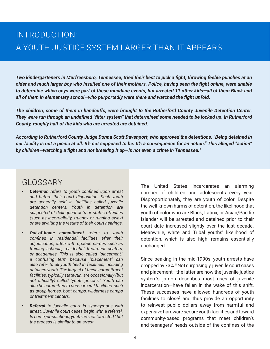## <span id="page-5-0"></span>INTRODUCTION: A YOUTH JUSTICE SYSTEM LARGER THAN IT APPEARS

*Two kindergarteners in Murfreesboro, Tennessee, tried their best to pick a fight, throwing feeble punches at an older and much larger boy who insulted one of their mothers. Police, having seen the fight online, were unable to determine which boys were part of these mundane events, but arrested 11 other kids—all of them Black and all of them in elementary school—who purportedly were there and watched the fight unfold.* 

*The children, some of them in handcuffs, were brought to the Rutherford County Juvenile Detention Center. They were run through an undefined "filter system" that determined some needed to be locked up. In Rutherford County, roughly half of the kids who are arrested are detained.* 

*According to Rutherford County Judge Donna Scott Davenport, who approved the detentions, "Being detained in our facility is not a picnic at all. It's not supposed to be. It's a consequence for an action." This alleged "action" by children—watching a fight and not breaking it up—is not even a crime in Tennessee.[7](#page-22-0)*

## GLOSSARY

- *• Detention refers to youth confined upon arrest and before their court disposition. Such youth are generally held in facilities called juvenile detention centers. Youth in detention are suspected of delinquent acts or status offenses (such as incorrigiblity, truancy or running away) or are awaiting the results of their court hearings.*
- *• Out-of-home commitment refers to youth confined in residential facilities after their adjudication, often with opaque names such as training schools, residential treatment centers, or academies. This is also called "placement," a confusing term because "placement" can also refer to all youth held in facilities, including detained youth. The largest of these commitment facilities, typically state-run, are occasionally (but not officially) called "youth prisons." Youth can also be committed to non-carceral facilities, such as group homes, boot camps, wilderness camps or treatment centers.*
- *• Referral to juvenile court is synonymous with arrest. Juvenile court cases begin with a referral. In some jurisdictions, youth are not "arrested," but the process is similar to an arrest.*

The United States incarcerates an alarming number of children and adolescents every year. Disproportionately, they are youth of color. Despite the well-known harms of detention, the likelihood that youth of color who are Black, Latinx, or Asian/Pacific Islander will be arrested and detained prior to their court date increased slightly over the last decade. Meanwhile, white and Tribal youths' likelihood of detention, which is also high, remains essentially unchanged.

Since peaking in the mid-1990s, youth arrests have dropped by 73%.[8](#page-22-0) Not surprisingly, juvenile court cases and placement—the latter are how the juvenile justice system's jargon describes most uses of juvenile incarceration—have fallen in the wake of this shift. These successes have allowed hundreds of youth facilities to close<sup>[9](#page-22-0)</sup> and thus provide an opportunity to reinvest public dollars away from harmful and expensive hardware secure youth facilities and toward community-based programs that meet children's and teenagers' needs outside of the confines of the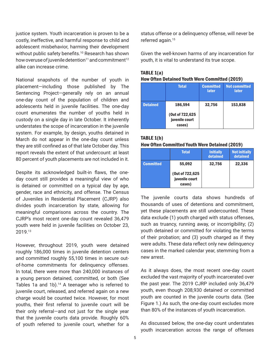justice system. Youth incarceration is proven to be a costly, ineffective, and harmful response to child and adolescent misbehavior, harming their development without public safety benefits.<sup>[10](#page-22-0)</sup> Research has shown how overuse of juvenile detention<sup>11</sup> and commitment<sup>12</sup> alike can increase crime.

National snapshots of the number of youth in placement—including those published by The Sentencing Project—generally rely on an annual one-day count of the population of children and adolescents held in juvenile facilities. The one-day count enumerates the number of youths held in custody on a single day in late October. It inherently understates the scope of incarceration in the juvenile system. For example, by design, youths detained in March do not appear in the one-day count unless they are still confined as of that late October day. This report reveals the extent of that undercount: at least 80 percent of youth placements are not included in it.

Despite its acknowledged built-in flaws, the oneday count still provides a meaningful view of who is detained or committed on a typical day by age, gender, race and ethnicity, and offense. The Census of Juveniles in Residential Placement (CJRP) also divides youth incarceration by state, allowing for meaningful comparisons across the country. The CJRP's most recent one-day count revealed 36,479 youth were held in juvenile facilities on October 23, 2019.[13](#page-22-0)

However, throughout 2019, youth were detained roughly 186,000 times in juvenile detention centers and committed roughly 55,100 times in secure outof-home commitments for delinquency offenses. In total, there were more than 240,000 instances of a young person detained, committed, or both (See Tables 1a and 1b).<sup>14</sup> A teenager who is referred to juvenile court, released, and referred again on a new charge would be counted twice. However, for most youths, their first referral to juvenile court will be their only referral—and not just for the single year that the juvenile courts data provide. Roughly 60% of youth referred to juvenile court, whether for a status offense or a delinquency offense, will never be referred again.<sup>15</sup>

Given the well-known harms of any incarceration for youth, it is vital to understand its true scope.

| $I \cap D = L \cup U$<br><b>How Often Detained Youth Were Committed (2019)</b> |  |  |  |  |
|--------------------------------------------------------------------------------|--|--|--|--|
|                                                                                |  |  |  |  |

|                 | <b>Total</b>                                 | <b>Committed</b><br>later | <b>Not committed</b><br>later |
|-----------------|----------------------------------------------|---------------------------|-------------------------------|
| <b>Detained</b> | 186,594                                      | 32,756                    | 153,838                       |
|                 | (Out of 722,625)<br>juvenile court<br>cases) |                           |                               |

#### TABLE 1(b)

TABLE  $1/s$ )

|  |  | How Often Committed Youth Were Detained (2019) |  |  |
|--|--|------------------------------------------------|--|--|
|--|--|------------------------------------------------|--|--|

|                  | <b>Total</b>                                          | <b>Initially</b><br>detained | <b>Not initially</b><br>detained |
|------------------|-------------------------------------------------------|------------------------------|----------------------------------|
| <b>Committed</b> | 55,092<br>(Out of 722,625<br>juvenile court<br>cases) | 32,756                       | 22,336                           |

The juvenile courts data shows hundreds of thousands of uses of detentions and commitment, yet these placements are still undercounted. These data exclude (1) youth charged with status offenses, such as truancy, running away, or incorrigibility; (2) youth detained or committed for violating the terms of their probation; and (3) youth charged as if they were adults. These data reflect only new delinquency cases in the marked calendar year, stemming from a new arrest.

As it always does, the most recent one-day count excluded the vast majority of youth incarcerated over the past year. The 2019 CJRP included only 36,479 youth, even though 208,930 detained or committed youth are counted in the juvenile courts data. (See Figure 1.) As such, the one-day count excludes more than 80% of the instances of youth incarceration.

As discussed below, the one-day count understates youth incarceration across the range of offenses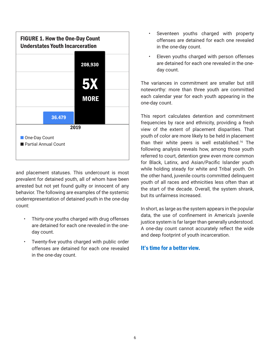

and placement statuses. This undercount is most prevalent for detained youth, all of whom have been arrested but not yet found guilty or innocent of any behavior. The following are examples of the systemic underrepresentation of detained youth in the one-day count:

- Thirty-one youths charged with drug offenses are detained for each one revealed in the oneday count.
- Twenty-five youths charged with public order offenses are detained for each one revealed in the one-day count.
- Seventeen youths charged with property offenses are detained for each one revealed in the one-day count.
- Eleven youths charged with person offenses are detained for each one revealed in the oneday count.

The variances in commitment are smaller but still noteworthy: more than three youth are committed each calendar year for each youth appearing in the one-day count.

This report calculates detention and commitment frequencies by race and ethnicity, providing a fresh view of the extent of placement disparities. That youth of color are more likely to be held in placement than their white peers is well established.[16](#page-23-0) The following analysis reveals how, among those youth referred to court, detention grew even more common for Black, Latinx, and Asian/Pacific Islander youth while holding steady for white and Tribal youth. On the other hand, juvenile courts committed delinquent youth of all races and ethnicities less often than at the start of the decade. Overall, the system shrank, but its unfairness increased.

In short, as large as the system appears in the popular data, the use of confinement in America's juvenile justice system is far larger than generally understood. A one-day count cannot accurately reflect the wide and deep footprint of youth incarceration.

#### It's time for a better view.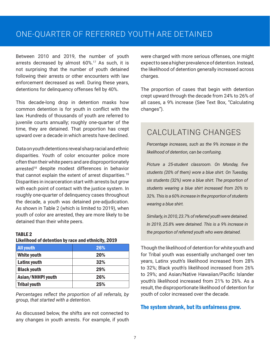## <span id="page-8-0"></span>ONE-QUARTER OF REFERRED YOUTH ARE DETAINED

Between 2010 and 2019, the number of youth arrests decreased by almost 60%.[17](#page-23-0) As such, it is not surprising that the number of youth detained following their arrests or other encounters with law enforcement decreased as well. During these years, detentions for delinquency offenses fell by 40%.

This decade-long drop in detention masks how common detention is for youth in conflict with the law. Hundreds of thousands of youth are referred to juvenile courts annually; roughly one-quarter of the time, they are detained. That proportion has crept upward over a decade in which arrests have declined.

Data on youth detentions reveal sharp racial and ethnic disparities. Youth of color encounter police more often than their white peers and are disproportionately arrested<sup>18</sup> despite modest differences in behavior that cannot explain the extent of arrest disparities.<sup>19</sup> Disparities in incarceration start with arrests but grow with each point of contact with the justice system. In roughly one-quarter of delinquency cases throughout the decade, a youth was detained pre-adjudication. As shown in Table 2 (which is limited to 2019), when youth of color are arrested, they are more likely to be detained than their white peers.

#### TABLE 2

#### Likelihood of detention by race and ethnicity, 2019

| <b>All youth</b>    | <b>26%</b> |
|---------------------|------------|
| White youth         | <b>20%</b> |
| Latinx youth        | 32%        |
| <b>Black youth</b>  | 29%        |
| Asian/NHHPI youth   | 26%        |
| <b>Tribal youth</b> | 25%        |

*Percentages reflect the proportion of all referrals, by group, that started with a detention.* 

As discussed below, the shifts are not connected to any changes in youth arrests. For example, if youth

were charged with more serious offenses, one might expect to see a higher prevalence of detention. Instead, the likelihood of detention generally increased across charges.

The proportion of cases that begin with detention crept upward through the decade from 24% to 26% of all cases, a 9% increase (See Text Box, "Calculating changes").

## CALCULATING CHANGES

*Percentage increases, such as the 9% increase in the likelihood of detention, can be confusing.* 

*Picture a 25-student classroom. On Monday, five students (20% of them) wore a blue shirt. On Tuesday, six students (32%) wore a blue shirt. The proportion of students wearing a blue shirt increased from 20% to 32%. This is a 60% increase in the proportion of students wearing a blue shirt.* 

*Similarly, in 2010, 23.7% of referred youth were detained. In 2019, 25.8% were detained. This is a 9% increase in the proportion of referred youth who were detained.*

Though the likelihood of detention for white youth and for Tribal youth was essentially unchanged over ten years, Latinx youth's likelihood increased from 28% to 32%; Black youth's likelihood increased from 26% to 29%; and Asian/Native Hawaiian/Pacific Islander youth's likelihood increased from 21% to 26%. As a result, the disproportionate likelihood of detention for youth of color increased over the decade.

#### The system shrank, but its unfairness grew.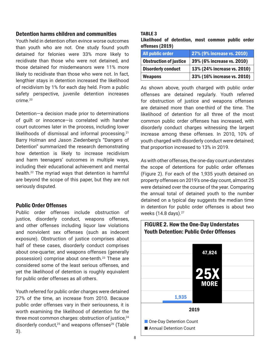#### Detention harms children and communities

Youth held in detention often evince worse outcomes than youth who are not. One study found youth detained for felonies were 33% more likely to recidivate than those who were not detained, and those detained for misdemeanors were 11% more likely to recidivate than those who were not. In fact, lengthier stays in detention increased the likelihood of recidivism by 1% for each day held. From a public safety perspective, juvenile detention increases crime.[20](#page-23-0)

Detention—a decision made prior to determinations of guilt or innocence—is correlated with harsher court outcomes later in the process, including lower likelihoods of dismissal and informal processing.<sup>21</sup> Barry Holman and Jason Ziedenberg's "Dangers of Detention" summarized the research demonstrating how detention is likely to increase recidivism and harm teenagers' outcomes in multiple ways, including their educational achievement and mental health[.22](#page-23-0) The myriad ways that detention is harmful are beyond the scope of this paper, but they are not seriously disputed.

#### Public Order Offenses

Public order offenses include obstruction of justice, disorderly conduct, weapons offenses, and other offenses including liquor law violations and nonviolent sex offenses (such as indecent exposure). Obstruction of justice comprises about half of these cases, disorderly conduct comprises about one-quarter, and weapons offenses (generally possession) comprise about one-tenth.<sup>23</sup> These are considered some of the least serious offenses, and yet the likelihood of detention is roughly equivalent for public order offenses as all others.

Youth referred for public order charges were detained 27% of the time, an increase from 2010. Because public order offenses vary in their seriousness, it is worth examining the likelihood of detention for the three most common charges: obstruction of justice,<sup>24</sup> disorderly conduct,<sup>25</sup> and weapons offenses<sup>26</sup> (Table 3).

#### TABLE 3

|                 | Likelihood of detention, most common public order |  |  |
|-----------------|---------------------------------------------------|--|--|
| offenses (2019) |                                                   |  |  |

| <b>All public order</b>       | 27% (9% increase vs. 2010)  |  |
|-------------------------------|-----------------------------|--|
| <b>Obstruction of justice</b> | 39% (6% increase vs. 2010)  |  |
| <b>Disorderly conduct</b>     | 13% (24% increase vs. 2010) |  |
| <b>Weapons</b>                | 33% (16% increase vs. 2010) |  |

As shown above, youth charged with public order offenses are detained regularly. Youth referred for obstruction of justice and weapons offenses are detained more than one-third of the time. The likelihood of detention for all three of the most common public order offenses has increased, with disorderly conduct charges witnessing the largest increase among these offenses. In 2010, 10% of youth charged with disorderly conduct were detained; that proportion increased to 13% in 2019.

As with other offenses, the one-day count understates the scope of detentions for public order offenses (Figure 2). For each of the 1,935 youth detained on property offenses on 2019's one-day count, almost 25 were detained over the course of the year. Comparing the annual total of detained youth to the number detained on a typical day suggests the median time in detention for public order offenses is about two weeks (14.8 days).<sup>27</sup>

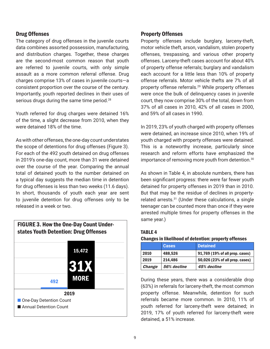#### Drug Offenses

The category of drug offenses in the juvenile courts data combines assorted possession, manufacturing, and distribution charges. Together, these charges are the second-most common reason that youth are referred to juvenile courts, with only simple assault as a more common referral offense. Drug charges comprise 13% of cases in juvenile courts—a consistent proportion over the course of the century. Importantly, youth reported declines in their uses of serious drugs during the same time period.<sup>28</sup>

Youth referred for drug charges were detained 16% of the time, a slight decrease from 2010, when they were detained 18% of the time.

As with other offenses, the one-day count understates the scope of detentions for drug offenses (Figure 3). For each of the 492 youth detained on drug offenses in 2019's one-day count, more than 31 were detained over the course of the year. Comparing the annual total of detained youth to the number detained on a typical day suggests the median time in detention for drug offenses is less than two weeks (11.6 days). In short, thousands of youth each year are sent to juvenile detention for drug offenses only to be released in a week or two.



#### Property Offenses

Property offenses include burglary, larceny-theft, motor vehicle theft, arson, vandalism, stolen property offenses, trespassing, and various other property offenses. Larceny-theft cases account for about 40% of property offense referrals; burglary and vandalism each account for a little less than 10% of property offense referrals. Motor vehicle thefts are 7% of all property offense referrals.[29](#page-23-0) While property offenses were once the bulk of delinquency cases in juvenile court, they now comprise 30% of the total, down from 37% of all cases in 2010, 42% of all cases in 2000, and 59% of all cases in 1990.

In 2019, 23% of youth charged with property offenses were detained, an increase since 2010, when 19% of youth charged with property offenses were detained. This is a noteworthy increase, particularly since research and reform efforts have emphasized the importance of removing more youth from detention.<sup>[30](#page-23-0)</sup>

As shown in Table 4, in absolute numbers, there has been significant progress: there were far fewer youth detained for property offenses in 2019 than in 2010. But that may be the residue of declines in propertyrelated arrests.[31](#page-24-0) (Under these calculations, a single teenager can be counted more than once if they were arrested multiple times for property offenses in the same year.)

#### TABLE 4 Changes in likelihood of detention: property offenses

|               | <b>Cases</b> | <b>Detained</b>                 |
|---------------|--------------|---------------------------------|
| 2010          | 488.526      | 91,769 (19% of all prop. cases) |
| 2019          | 214,486      | 50,026 (23% of all prop. cases) |
| <b>Change</b> | 56% decline  | 45% decline                     |

During these years, there was a considerable drop (63%) in referrals for larceny-theft, the most common property offense. Meanwhile, detention for such referrals became more common. In 2010, 11% of youth referred for larceny-theft were detained; in 2019, 17% of youth referred for larceny-theft were detained, a 51% increase.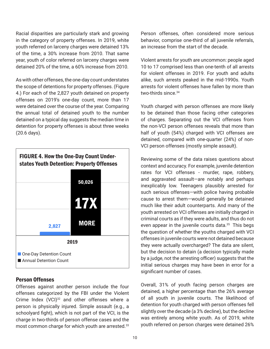Racial disparities are particularly stark and growing in the category of property offenses. In 2019, white youth referred on larceny charges were detained 13% of the time, a 30% increase from 2010. That same year, youth of color referred on larceny charges were detained 20% of the time, a 60% increase from 2010.

As with other offenses, the one-day count understates the scope of detentions for property offenses. (Figure 4.) For each of the 2,827 youth detained on property offenses on 2019's one-day count, more than 17 were detained over the course of the year. Comparing the annual total of detained youth to the number detained on a typical day suggests the median time in detention for property offenses is about three weeks (20.6 days).



#### Person Offenses

Offenses against another person include the four offenses categorized by the FBI under the Violent Crime Index  $(VCl)^{32}$  and other offenses where a person is physically injured. Simple assault (e.g., a schoolyard fight), which is not part of the VCI, is the charge in two-thirds of person offense cases and the most common charge for which youth are arrested.<sup>33</sup> Person offenses, often considered more serious behavior, comprise one-third of all juvenile referrals, an increase from the start of the decade.

Violent arrests for youth are uncommon: people aged 10 to 17 comprised less than one-tenth of all arrests for violent offenses in 2019. For youth and adults alike, such arrests peaked in the mid-1990s. Youth arrests for violent offenses have fallen by more than two-thirds since.<sup>34</sup>

Youth charged with person offenses are more likely to be detained than those facing other categories of charges. Separating out the VCI offenses from the non-VCI person offenses reveals that more than half of youth (54%) charged with VCI offenses are detained, compared with one-quarter (24%) of non-VCI person offenses (mostly simple assault).

Reviewing some of the data raises questions about context and accuracy. For example, juvenile detention rates for VCI offenses - murder, rape, robbery, and aggravated assault—are notably and perhaps inexplicably low. Teenagers plausibly arrested for such serious offenses—with police having probable cause to arrest them—would generally be detained much like their adult counterparts. And many of the youth arrested on VCI offenses are initially charged in criminal courts as if they were adults, and thus do not even appear in the juvenile courts data.<sup>[35](#page-24-0)</sup> This begs the question of whether the youths charged with VCI offenses in juvenile courts were not detained because they were actually overcharged? The data are silent, but the decision to detain (a decision typically made by a judge, not the arresting officer) suggests that the initial serious charges may have been in error for a significant number of cases.

Overall, 31% of youth facing person charges are detained, a higher percentage than the 26% average of all youth in juvenile courts. The likelihood of detention for youth charged with person offenses fell slightly over the decade (a 3% decline), but the decline was entirely among white youth. As of 2019, white youth referred on person charges were detained 26%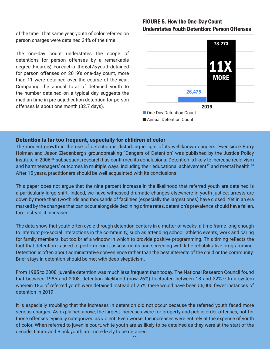of the time. That same year, youth of color referred on person charges were detained 34% of the time.

The one-day count understates the scope of detentions for person offenses by a remarkable degree (Figure 5). For each of the 6,475 youth detained for person offenses on 2019's one-day count, more than 11 were detained over the course of the year. Comparing the annual total of detained youth to the number detained on a typical day suggests the median time in pre-adjudication detention for person offenses is about one month (32.7 days).

## FIGURE 5. How the One-Day Count Understates Youth Detention: Person Offenses 11X 73,273 6,475 2019 ■ One-Day Detention Count Annual Detention Count

#### Detention is far too frequent, especially for children of color

The modest growth in the use of detention is disturbing in light of its well-known dangers. Ever since Barry Holman and Jason Ziedenberg's groundbreaking "Dangers of Detention" was published by the Justice Policy Institute in 2006,<sup>[36](#page-24-0)</sup> subsequent research has confirmed its conclusions. Detention is likely to increase recidivism and harm teenagers' outcomes in multiple ways, including their educational achievement<sup>[37](#page-24-0)</sup> and mental health.<sup>[38](#page-24-0)</sup> After 15 years, practitioners should be well acquainted with its conclusions.

This paper does not argue that the nine percent increase in the likelihood that referred youth are detained is a particularly large shift. Indeed, we have witnessed dramatic changes elsewhere in youth justice: arrests are down by more than two-thirds and thousands of facilities (especially the largest ones) have closed. Yet in an era marked by the changes that can occur alongside declining crime rates, detention's prevalence should have fallen, too. Instead, it increased.

The data show that youth often cycle through detention centers in a matter of weeks, a time frame long enough to interrupt pro-social interactions in the community, such as attending school, athletic events, work and caring for family members, but too brief a window in which to provide positive programming. This timing reflects the fact that detention is used to perform court assessments and screening with little rehabilitative programming. Detention is often about administrative convenience rather than the best interests of the child or the community. Brief stays in detention should be met with deep skepticism.

From 1985 to 2008, juvenile detention was much less frequent than today. The National Research Council found that between 1985 and 2008, detention likelihood (now 26%) fluctuated between 18 and 22%.<sup>[39](#page-24-0)</sup> In a system wherein 18% of referred youth were detained instead of 26%, there would have been 56,000 fewer instances of detention in 2019.

It is especially troubling that the increases in detention did not occur because the referred youth faced more serious charges. As explained above, the largest increases were for property and public order offenses, not for those offenses typically categorized as violent. Even worse, the increases were entirely at the expense of youth of color. When referred to juvenile court, white youth are as likely to be detained as they were at the start of the decade; Latinx and Black youth are more likely to be detained.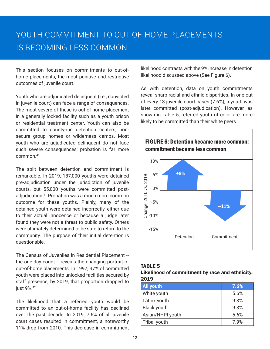This section focuses on commitments to out-ofhome placements, the most punitive and restrictive outcomes of juvenile court.

Youth who are adjudicated delinquent (i.e., convicted in juvenile court) can face a range of consequences. The most severe of these is out-of-home placement in a generally locked facility such as a youth prison or residential treatment center. Youth can also be committed to county-run detention centers, nonsecure group homes or wilderness camps. Most youth who are adjudicated delinquent do not face such severe consequences; probation is far more common.[40](#page-24-0)

The split between detention and commitment is remarkable. In 2019, 187,000 youths were detained pre-adjudication under the jurisdiction of juvenile courts, but 55,000 youths were committed postadjudication.[41](#page-24-0) Probation was a much more common outcome for these youths. Plainly, many of the detained youth were detained incorrectly, either due to their actual innocence or because a judge later found they were not a threat to public safety. Others were ultimately determined to be safe to return to the community. The purpose of their initial detention is questionable.

The Census of Juveniles in Residential Placement - the one-day count -- reveals the changing portrait of out-of-home placements. In 1997, 37% of committed youth were placed into unlocked facilities secured by staff presence; by 2019, that proportion dropped to just 9%.<sup>[42](#page-24-0)</sup>

The likelihood that a referred youth would be committed to an out-of-home facility has declined over the past decade. In 2019, 7.6% of all juvenile court cases resulted in commitment, a noteworthy 11% drop from 2010. This decrease in commitment likelihood contrasts with the 9% increase in detention likelihood discussed above (See Figure 6).

As with detention, data on youth commitments reveal sharp racial and ethnic disparities. In one out of every 13 juvenile court cases (7.6%), a youth was later committed (post-adjudication). However, as shown in Table 5, referred youth of color are more likely to be committed than their white peers.



#### TABLE 5

#### Likelihood of commitment by race and ethnicity, 2019

| <b>All youth</b>   | 7.6% |
|--------------------|------|
| White youth        | 5.6% |
| Latinx youth       | 9.3% |
| <b>Black youth</b> | 9.3% |
| Asian/NHPI youth   | 5.6% |
| Tribal youth       | 7.9% |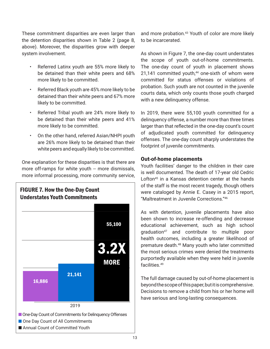These commitment disparities are even larger than the detention disparities shown in Table 2 (page 8, above). Moreover, the disparities grow with deeper system involvement.

- Referred Latinx youth are 55% more likely to be detained than their white peers and 68% more likely to be committed.
- Referred Black youth are 45% more likely to be detained than their white peers and 67% more likely to be committed.
- Referred Tribal youth are 24% more likely to be detained than their white peers and 41% more likely to be committed.
- On the other hand, referred Asian/NHPI youth are 26% more likely to be detained than their white peers and equally likely to be committed.

One explanation for these disparities is that there are more off-ramps for white youth -- more dismissals, more informal processing, more community service,



and more probation.<sup>[43](#page-24-0)</sup> Youth of color are more likely to be incarcerated.

As shown in Figure 7, the one-day count understates the scope of youth out-of-home commitments. The one-day count of youth in placement shows  $21,141$  committed youth, $44$  one-sixth of whom were committed for status offenses or violations of probation. Such youth are not counted in the juvenile courts data, which only counts those youth charged with a new delinquency offense.

In 2019, there were 55,100 youth committed for a delinquency offense, a number more than three times as large as that reflected in the one-day count's count of adjudicated youth committed for delinquency offenses. The one-day count sharply understates the footprint of juvenile commitments.

#### Out-of-home placements

Youth facilities' danger to the children in their care i[s w](#page-24-0)ell documented. The death of 17-year old Cedric Lofton<sup>45</sup> in a Kansas detention center at the hands of the staff is the most recent tragedy, though others were cataloged by Ann[ie](#page-24-0) E. Casey in a 2015 report, "Maltreatment in Juvenile Corrections."<sup>46</sup>

As with detention, juvenile placements have also bee[n](#page-24-0) shown to increase re-offending and decrease educational achievement, such as high school g[ra](#page-24-0)duation $47$  and contribute to multiple poor health outcomes, including a greater likelihood of premature death.<sup>48</sup> Many youth w[ho](#page-24-0) later committed the most serious crimes were denied the treatments purportedly available when they were held in juvenile facilities.<sup>49</sup>

The full damage caused by out-of-home placement is beyond the scope of this paper, but it is comprehensive. Decisions to remove a child from his or her home will have serious and long-lasting consequences.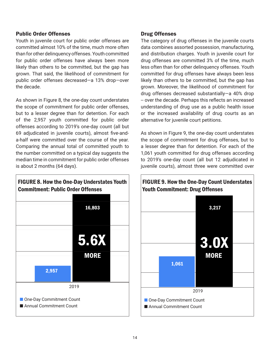#### Public Order Offenses

Youth in juvenile court for public order offenses are committed almost 10% of the time, much more often than for other delinquency offenses. Youth committed for public order offenses have always been more likely than others to be committed, but the gap has grown. That said, the likelihood of commitment for public order offenses decreased—a 13% drop—over the decade.

As shown in Figure 8, the one-day count understates the scope of commitment for public order offenses, but to a lesser degree than for detention. For each of the 2,957 youth committed for public order offenses according to 2019's one-day count (all but 69 adjudicated in juvenile courts), almost five-anda-half were committed over the course of the year. Comparing the annual total of committed youth to the number committed on a typical day suggests the median time in commitment for public order offenses is about 2 months (64 days).



#### Drug Offenses

The category of drug offenses in the juvenile courts data combines assorted possession, manufacturing, and distribution charges. Youth in juvenile court for drug offenses are committed 3% of the time, much less often than for other delinquency offenses. Youth committed for drug offenses have always been less likely than others to be committed, but the gap has grown. Moreover, the likelihood of commitment for drug offenses decreased substantially—a 40% drop -- over the decade. Perhaps this reflects an increased understanding of drug use as a public health issue or the increased availability of drug courts as an alternative for juvenile court petitions.

As shown in Figure 9, the one-day count understates the scope of commitment for drug offenses, but to a lesser degree than for detention. For each of the 1,061 youth committed for drug offenses according to 2019's one-day count (all but 12 adjudicated in juvenile courts), almost three were committed over

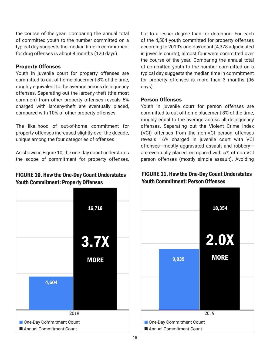the course of the year. Comparing the annual total of committed youth to the number committed on a typical day suggests the median time in commitment for drug offenses is about 4 months (120 days).

#### Property Offenses

Youth in juvenile court for property offenses are committed to out-of-home placement 8% of the time, roughly equivalent to the average across delinquency offenses. Separating out the larceny-theft (the most common) from other property offenses reveals 5% charged with larceny-theft are eventually placed, compared with 10% of other property offenses.

The likelihood of out-of-home commitment for property offenses increased slightly over the decade, unique among the four categories of offenses.

As shown in Figure 10, the one-day count understates the scope of commitment for property offenses,



but to a lesser degree than for detention. For each of the 4,504 youth committed for property offenses according to 2019's one-day count (4,378 adjudicated in juvenile courts), almost four were committed over the course of the year. Comparing the annual total of committed youth to the number committed on a typical day suggests the median time in commitment for property offenses is more than 3 months (96 days).

#### Person Offenses

Youth in juvenile court for person offenses are committed to out-of-home placement 8% of the time, roughly equal to the average across all delinquency offenses. Separating out the Violent Crime Index (VCI) offenses from the non-VCI person offenses reveals 16% charged in juvenile court with VCI offenses—mostly aggravated assault and robbery are eventually placed, compared with 5% of non-VCI person offenses (mostly simple assault). Avoiding

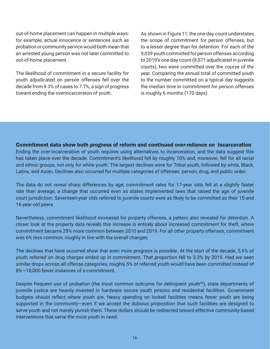out-of-home placement can happen in multiple ways: for example, actual innocence or sentences such as probation or community service would both mean that an arrested young person was not later committed to out-of-home placement.

The likelihood of commitment in a secure facility for youth adjudicated on person offenses fell over the decade from 9.3% of cases to 7.7%, a sign of progress toward ending the overincarceraton of youth.

As shown in Figure 11, the one-day count understates the scope of commitment for person offenses, but to a lesser degree than for detention. For each of the 9,039 youth committed for person offenses according to 2019's one-day count (8,571 adjudicated in juvenile courts), two were committed over the course of the year. Comparing the annual total of committed youth to the number committed on a typical day suggests the median time in commitment for person offenses is roughly 6 months (170 days).

#### Commitment data show both progress of reform and continued over-reliance on incarceration

Ending the over-incarceration of youth requires using alternatives to incarceration, and the data suggest this has taken place over the decade. Commitment's likelihood fell by roughly 10% and, moreover, fell for all racial and ethnic groups, not only for white youth. The largest declines were for Tribal youth, followed by white, Black, Latinx, and Asian. Declines also occurred for multiple categories of offenses: person, drug, and public order.

The data do not reveal sharp differences by age; commitment rates for 17-year olds fell at a slightly faster rate than average, a change that occurred even as states implemented laws that raised the age of juvenile court jurisdiction. Seventeen-year olds referred to juvenile courts were as likely to be committed as their 15-and 16-year-old peers.

Nevertheless, commitment likelihood increased for property offenses, a pattern also revealed for detention. A closer look at the property data reveals this increase is entirely about increased commitment for theft, where commitment became 25% more common between 2010 and 2019. For all other property offenses, commitment was 6% less common, roughly in line with the overall changes.

The declines that have occurred show that even more progress is possible. At the start of the decade, 5.6% of youth referred on drug charges ended up in commitment. That proportion fell to 3.3% by 2019. Had we seen similar drops across all offense categories, roughly 5% of referred youth would have been committed instead of 8%—18,000 fewer instances of a commitment.

Despite frequent use of probation (the most common outcome for delinquent youth<sup>50</sup>), state departments of juvenile justice are heavily invested in hardware secure youth prisons and residential facilities. Government budgets should reflect where youth are. Heavy spending on locked facilities means fewer youth are being supported in the community-even if we accept the dubious proposition that such facilities are designed to serve youth and not merely punish them. These dollars should be redirected toward effective community-based interventions that serve the most youth in need.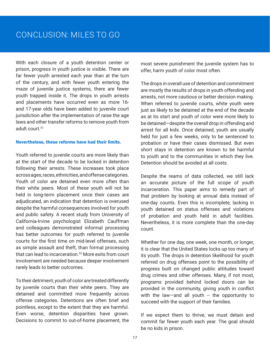## CONCLUSION: MILES TO GO

With each closure of a youth detention center or prison, progress in youth justice is visible. There are far fewer youth arrested each year than at the turn of the century, and with fewer youth entering the maze of juvenile justice systems, there are fewer youth trapped inside it. The drops in youth arrests and placements have occurred even as more 16 and 17-year olds have been added to juvenile court jurisdiction after the implementation of raise the age laws and other transfer reforms to remove youth from adult court.[51](#page-24-0)

#### Nevertheless, these reforms have had their limits.

Youth referred to juvenile courts are more likely than at the start of the decade to be locked in detention following their arrests. These increases took place across ages, races, ethnicities, and offense categories. Youth of color are detained even more often than their white peers. Most of these youth will not be held in long-term placement once their cases are adjudicated, an indication that detention is overused despite the harmful consequences involved for youth and public safety. A recent study from University of California-Irvine psychologist Elizabeth Cauffman and colleagues demonstrated informal processing has better outcomes for youth referred to juvenile courts for the first time on mid-level offenses, such as simple assault and theft, than formal processing that can lead to incarceration.<sup>[52](#page-25-0)</sup> More exits from court involvement are needed because deeper involvement rarely leads to better outcomes.

To their detriment, youth of color are treated differently by juvenile courts than their white peers. They are detained and committed more frequently across offense categories. Detentions are often brief and pointless, except to the extent that they are harmful. Even worse, detention disparities have grown. Decisions to commit to out-of-home placement, the most severe punishment the juvenile system has to offer, harm youth of color most often.

The drops in overall use of detention and commitment are mostly the results of drops in youth offending and arrests, not more cautious or better decision making. When referred to juvenile courts, white youth were just as likely to be detained at the end of the decade as at its start and youth of color were more likely to be detained—despite the overall drop in offending and arrest for all kids. Once detained, youth are usually held for just a few weeks, only to be sentenced to probation or have their cases dismissed. But even short stays in detention are known to be harmful to youth and to the communities in which they live. Detention should be avoided at all costs.

Despite the reams of data collected, we still lack an accurate picture of the full scope of youth incarceration. This paper aims to remedy part of that problem by looking at annual data instead of one-day counts. Even this is incomplete, lacking in youth detained on status offenses and violations of probation and youth held in adult facilities. Nevertheless, it is more complete than the one-day count.

Whether for one day, one week, one month, or longer, it is clear that the United States locks up too many of its youth. The drops in detention likelihood for youth referred on drug offenses point to the possibility of progress built on changed public attitudes toward drug crimes and other offenses. Many, if not most, programs provided behind locked doors can be provided in the community, giving youth in conflict with the law-and all youth  $-$  the opportunity to succeed with the support of their families.

If we expect them to thrive, we must detain and commit far fewer youth each year. The goal should be no kids in prison.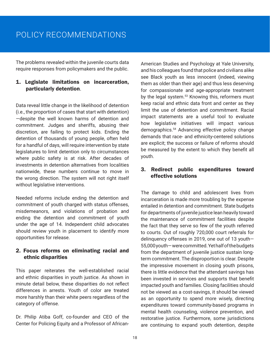## POLICY RECOMMENDATIONS

The problems revealed within the juvenile courts data require responses from policymakers and the public.

#### 1. Legislate limitations on incarceration, particularly detention.

Data reveal little change in the likelihood of detention (i.e., the proportion of cases that start with detention) —despite the well known harms of detention and commitment. Judges and sheriffs, abusing their discretion, are failing to protect kids. Ending the detention of thousands of young people, often held for a handful of days, will require intervention by state legislatures to limit detention only to circumstances where public safety is at risk. After decades of investments in detention alternatives from localities nationwide, these numbers continue to move in the wrong direction. The system will not right itself without legislative interventions.

Needed reforms include ending the detention and commitment of youth charged with status offenses, misdemeanors, and violations of probation and ending the detention and commitment of youth under the age of 14. Independent child advocates should review youth in placement to identify more opportunities for release.

#### 2. Focus reforms on eliminating racial and ethnic disparities

This paper reiterates the well-established racial and ethnic disparities in youth justice. As shown in minute detail below, these disparities do not reflect differences in arrests. Youth of color are treated more harshly than their white peers regardless of the category of offense.

Dr. Philip Atiba Goff, co-founder and CEO of the Center for Policing Equity and a Professor of African-

American Studies and Psychology at Yale University, and his colleagues found that police and civilians alike see Black youth as less innocent (indeed, viewing them as older than their age) and thus less deserving for compassionate and age-appropriate treatment by the legal system.<sup>[53](#page-25-0)</sup> Knowing this, reformers must keep racial and ethnic data front and center as they limit the use of detention and commitment. Racial impact statements are a useful tool to evaluate how legislative initiatives will impact various demographics[.54](#page-25-0) Advancing effective policy change demands that race- and ethnicity-centered solutions are explicit; the success or failure of reforms should be measured by the extent to which they benefit all youth.

#### 3. Redirect public expenditures toward effective solutions

The damage to child and adolescent lives from incarceration is made more troubling by the expense entailed in detention and commitment. State budgets for departments of juvenile justice lean heavily toward the maintenance of commitment facilities despite the fact that they serve so few of the youth referred to courts. Out of roughly 720,000 court referrals for delinquency offenses in 2019, one out of 13 youth— 55,000 youth— were committed. Yet half of the budgets from the department of juvenile justice sustain longterm commitment. The disproportion is clear. Despite the impressive movement in closing youth prisons, there is little evidence that the attendant savings has been invested in services and supports that benefit impacted youth and families. Closing facilities should not be viewed as a cost-savings, it should be viewed as an opportunity to spend more wisely, directing expenditures toward community-based programs in mental health counseling, violence prevention, and restorative justice. Furthermore, some jurisdictions are continuing to expand youth detention, despite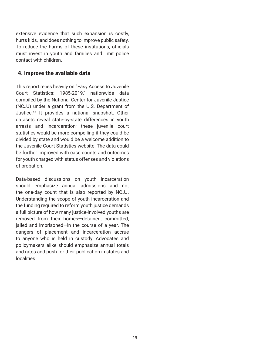extensive evidence that such expansion is costly, hurts kids, and does nothing to improve public safety. To reduce the harms of these institutions, officials must invest in youth and families and limit police contact with children.

#### 4. Improve the available data

This report relies heavily on "Easy Access to Juvenile Court Statistics: 1985-2019," nationwide data compiled by the National Center for Juvenile Justice (NCJJ) under a grant from the U.S. Department of Justice.[55](#page-25-0) It provides a national snapshot. Other datasets reveal state-by-state differences in youth arrests and incarceration; these juvenile court statistics would be more compelling if they could be divided by state and would be a welcome addition to the Juvenile Court Statistics website. The data could be further improved with case counts and outcomes for youth charged with status offenses and violations of probation.

Data-based discussions on youth incarceration should emphasize annual admissions and not the one-day count that is also reported by NCJJ. Understanding the scope of youth incarceration and the funding required to reform youth justice demands a full picture of how many justice-involved youths are removed from their homes—detained, committed, jailed and imprisoned—in the course of a year. The dangers of placement and incarceration accrue to anyone who is held in custody. Advocates and policymakers alike should emphasize annual totals and rates and push for their publication in states and localities.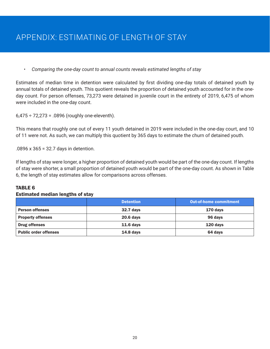## APPENDIX: ESTIMATING OF LENGTH OF STAY

#### *• Comparing the one-day count to annual counts reveals estimated lengths of stay*

Estimates of median time in detention were calculated by first dividing one-day totals of detained youth by annual totals of detained youth. This quotient reveals the proportion of detained youth accounted for in the oneday count. For person offenses, 73,273 were detained in juvenile court in the entirety of 2019, 6,475 of whom were included in the one-day count.

 $6,475 \div 72,273 = .0896$  (roughly one-eleventh).

This means that roughly one out of every 11 youth detained in 2019 were included in the one-day court, and 10 of 11 were not. As such, we can multiply this quotient by 365 days to estimate the churn of detained youth.

.0896 x 365 = 32.7 days in detention.

If lengths of stay were longer, a higher proportion of detained youth would be part of the one-day count. If lengths of stay were shorter, a small proportion of detained youth would be part of the one-day count. As shown in Table 6, the length of stay estimates allow for comparisons across offenses.

#### TARI F 6

#### Estimated median lengths of stay

|                              | <b>Detention</b> | <b>Out-of-home commitment</b> |
|------------------------------|------------------|-------------------------------|
| <b>Person offenses</b>       | <b>32.7 days</b> | 170 days                      |
| <b>Property offenses</b>     | <b>20.6 days</b> | 96 days                       |
| <b>Drug offenses</b>         | $11.6$ days      | $120$ days                    |
| <b>Public order offenses</b> | $14.8$ days      | 64 days                       |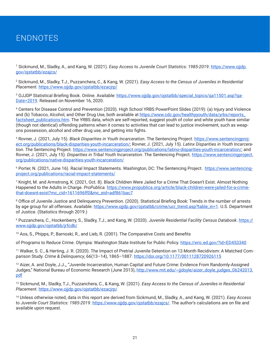## <span id="page-22-0"></span>ENDNOTES

<sup>[1](#page-3-0)</sup> Sickmund, M., Sladky, A., and Kang, W. (2021). *Easy Access to Juvenile Court Statistics: 1985-2019*. <u>https://www.ojjdp.</u> [gov/ojstatbb/ezajcs/](https://www.ojjdp.gov/ojstatbb/ezajcs/)

[2](#page-3-0) Sickmund, M., Sladky, T.J., Puzzanchera, C., & Kang, W. (2021). *Easy Access to the Census of Juveniles in Residential Placement*. <https://www.ojjdp.gov/ojstatbb/ezacjrp/>

<sup>[3](#page-3-0)</sup> OJJDP Statistical Briefing Book. Online. Available: <u>https://www.ojjdp.gov/ojstatbb/special\_topics/qa11501.asp?qa-</u> [Date=2019.](https://www.ojjdp.gov/ojstatbb/special_topics/qa11501.asp?qaDate=2019) Released on November 16, 2020.

[4](#page-3-0) Centers for Disease Control and Prevention (2020). High School YRBS PowerPoint Slides (2019): (a) Injury and Violence and (b) Tobacco, Alcohol, and Other Drug Use, both available at [https://www.cdc.gov/healthyyouth/data/yrbs/reports\\_](https://www.cdc.gov/healthyyouth/data/yrbs/reports_factsheet_publications.htm) factsheet publications.htm. The YRBS data, which are self-reported, suggest youth of color and white youth have similar (though not identical) offending patterns when it comes to activities that can lead to justice involvement, such as weapons possession, alcohol and other drug use, and getting into fights.

[5](#page-4-0) Rovner, J. (2021, July 15). *Black Disparities in Youth Incarceration*. The Sentencing Project. [https://www.sentencingproj](https://www.sentencingproject.org/publications/black-disparities-youth-incarceration/)[ect.org/publications/black-disparities-youth-incarceration/;](https://www.sentencingproject.org/publications/black-disparities-youth-incarceration/) Rovner, J. (2021, July 15). *Latinx Disparities in Youth Incarceration*. The Sentencing Project. [https://www.sentencingproject.org/publications/latino-disparities-youth-incarceration/;](https://www.sentencingproject.org/publications/latino-disparities-youth-incarceration/) and Rovner, J. (2021, July 15). *Disparities in Tribal Youth Incarceration*. The Sentencing Project. [https://www.sentencingproject.](https://www.sentencingproject.org/publications/native-disparities-youth-incarceration/) [org/publications/native-disparities-youth-incarceration/](https://www.sentencingproject.org/publications/native-disparities-youth-incarceration/)

<sup>[6](#page-4-0)</sup> Porter, N. (2021, June 16). Racial Impact Statements. Washington, DC: The Sentencing Project. <u>https://www.sentencing-</u> [project.org/publications/racial-impact-statements/](https://www.sentencingproject.org/publications/racial-impact-statements/)

<sup>[7](#page-5-0)</sup> Knight, M. and Armstrong, K. (2021, Oct. 8). Black Children Were Jailed for a Crime That Doesn't Exist. Almost Nothing Happened to the Adults in Charge. *ProPublica.* [https://www.propublica.org/article/black-children-were-jailed-for-a-crime](https://www.propublica.org/article/black-children-were-jailed-for-a-crime-that-doesnt-exist?mc_cid=1611696ff0&mc_eid=adf861bac7)[that-doesnt-exist?mc\\_cid=1611696ff0&mc\\_eid=adf861bac7](https://www.propublica.org/article/black-children-were-jailed-for-a-crime-that-doesnt-exist?mc_cid=1611696ff0&mc_eid=adf861bac7)

[8](#page-5-0) Office of Juvenile Justice and Delinquency Prevention. (2020). Statistical Briefing Book: Trends in the number of arrests by age group for all offenses. Available: [https://www.ojjdp.gov/ojstatbb/crime/ucr\\_trend.asp?table\\_in=1.](https://www.ojjdp.gov/ojstatbb/crime/ucr_trend.asp?table_in=1) U.S. Department of Justice. (Statistics through 2019.)

[9](#page-5-0) Puzzanchera, C., Hockenberry, S., Sladky, T.J., and Kang, W. (2020). *Juvenile Residential Facility Census Databook*. [https://](https://www.ojjdp.gov/ojstatbb/jrfcdb/) [www.ojjdp.gov/ojstatbb/jrfcdb/](https://www.ojjdp.gov/ojstatbb/jrfcdb/)

<sup>10</sup> Aos, S., Phipps, P., Barnoski, R., and Lieb, R. (2001). The Comparative Costs and Benefits

of Programs to Reduce Crime. Olympia: Washington State Institute for Public Policy.<https://eric.ed.gov/?id=ED453340>

11 Walker, S. C., & Herting, J. R. (2020). The Impact of Pretrial Juvenile Detention on 12-Month Recidivism: A Matched Comparison Study. *Crime & Delinquency*, 66(13–14), 1865–1887. <https://doi.org/10.1177/0011128720926115>

<sup>12</sup> Aizer, A. and Doyle, J.J.,, "Juvenile Incarceration, Human Capital and Future Crime: Evidence From Randomly-Assigned Judges," National Bureau of Economic Research (June 2013), [http://www.mit.edu/~jjdoyle/aizer\\_doyle\\_judges\\_06242013.](http://www.mit.edu/~jjdoyle/aizer_doyle_judges_06242013.pdf) [pdf](http://www.mit.edu/~jjdoyle/aizer_doyle_judges_06242013.pdf)

13 Sickmund, M., Sladky, T.J., Puzzanchera, C., & Kang, W. (2021). *Easy Access to the Census of Juveniles in Residential Placement*. <https://www.ojjdp.gov/ojstatbb/ezacjrp/>

14 Unless otherwise noted, data in this report are derived from Sickmund, M., Sladky, A., and Kang, W. (2021). *Easy Access to Juvenile Court Statistics: 1985-2019*. <https://www.ojjdp.gov/ojstatbb/ezajcs/>. The author's calculations are on file and available upon request.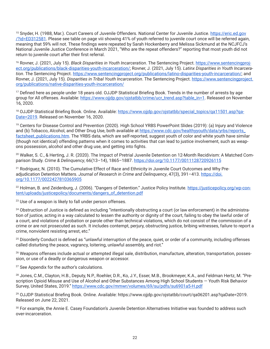<span id="page-23-0"></span><sup>15</sup> Snyder, H. (1988, Mar.). Court Careers of Juvenile Offenders. National Center for Juvenile Justice. [https://eric.ed.gov](https://eric.ed.gov/?id=ED312581) [/?id=ED312581](https://eric.ed.gov/?id=ED312581). Please see table on page viii showing 41% of youth referred to juvenile court once will be referred again, meaning that 59% will not. These findings were repeated by Sarah Hockenberry and Melissa Sickmund at the NCJFCJ's National Juvenile Justice Conference in March 2021, "Who are the repeat offenders?" reporting that most youth did not return to juvenile court after their first referral.

16 Rovner, J. (2021, July 15). *Black Disparities in Youth Incarceration*. The Sentencing Project. [https://www.sentencingproj](https://www.sentencingproject.org/publications/black-disparities-youth-incarceration/)[ect.org/publications/black-disparities-youth-incarceration/;](https://www.sentencingproject.org/publications/black-disparities-youth-incarceration/) Rovner, J. (2021, July 15). *Latinx Disparities in Youth Incarceration*. The Sentencing Project. [https://www.sentencingproject.org/publications/latino-disparities-youth-incarceration/;](https://www.sentencingproject.org/publications/latino-disparities-youth-incarceration/) and Rovner, J. (2021, July 15). *Disparities in Tribal Youth Incarceration*. The Sentencing Project. [https://www.sentencingproject.](https://www.sentencingproject.org/publications/native-disparities-youth-incarceration/) [org/publications/native-disparities-youth-incarceration/](https://www.sentencingproject.org/publications/native-disparities-youth-incarceration/)

<sup>[17](#page-8-0)</sup> Defined here as people under 18 years old. OJJDP Statistical Briefing Book. Trends in the number of arrests by age group for All offenses. Available: [https://www.ojjdp.gov/ojstatbb/crime/ucr\\_trend.asp?table\\_in=1](https://www.ojjdp.gov/ojstatbb/crime/ucr_trend.asp?table_in=1). Released on November 16, 2020.

<sup>18</sup> OJJDP Statistical Briefing Book. Online. Available: https://www.ojidp.gov/ojstatbb/special\_topics/ga11501.asp?ga-[Date=2019.](https://www.ojjdp.gov/ojstatbb/special_topics/qa11501.asp?qaDate=2019) Released on November 16, 2020.

19 Centers for Disease Control and Prevention (2020). High School YRBS PowerPoint Slides (2019): (a) Injury and Violence and (b) Tobacco, Alcohol, and Other Drug Use, both available at [https://www.cdc.gov/healthyyouth/data/yrbs/reports\\_](https://www.cdc.gov/healthyyouth/data/yrbs/reports_factsheet_publications.htm) [factsheet\\_publications.htm.](https://www.cdc.gov/healthyyouth/data/yrbs/reports_factsheet_publications.htm) The YRBS data, which are self-reported, suggest youth of color and white youth have similar (though not identical) offending patterns when it comes to activities that can lead to justice involvement, such as weapons possession, alcohol and other drug use, and getting into fights.

20 Walker, S. C., & Herting, J. R. (2020). The Impact of Pretrial Juvenile Detention on 12-Month Recidivism: A Matched Comparison Study. *Crime & Delinquency*, 66(13–14), 1865–1887. <https://doi.org/10.1177/0011128720926115>

<sup>21</sup> Rodriguez, N. (2010). The Cumulative Effect of Race and Ethnicity in Juvenile Court Outcomes and Why Preadjudication Detention Matters. *Journal of Research in Crime and Delinquency*, 47(3), 391–413. [https://doi.](https://doi.org/10.1177/0022427810365905) [org/10.1177/0022427810365905](https://doi.org/10.1177/0022427810365905)

<sup>22</sup> Holman, B. and Zeidenburg, J. (2006). "Dangers of Detention." Justice Policy Institute. [https://justicepolicy.org/wp-con](https://justicepolicy.org/wp-content/uploads/justicepolicy/documents/dangers_of_detention.pdf)[tent/uploads/justicepolicy/documents/dangers\\_of\\_detention.pdf](https://justicepolicy.org/wp-content/uploads/justicepolicy/documents/dangers_of_detention.pdf)

<sup>23</sup> Use of a weapon is likely to fall under person offenses.

<sup>24</sup> Obstruction of Justice is defined as including "intentionally obstructing a court (or law enforcement) in the administration of justice, acting in a way calculated to lessen the authority or dignity of the court, failing to obey the lawful order of a court, and violations of probation or parole other than technical violations, which do not consist of the commission of a crime or are not prosecuted as such. It includes contempt, perjury, obstructing justice, bribing witnesses, failure to report a crime, nonviolent resisting arrest, etc."

<sup>25</sup> Disorderly Conduct is defined as "unlawful interruption of the peace, quiet, or order of a community, including offenses called disturbing the peace, vagrancy, loitering, unlawful assembly, and riot."

<sup>26</sup> Weapons offenses include actual or attempted illegal sale, distribution, manufacture, alteration, transportation, possession, or use of a deadly or dangerous weapon or accessor.

<sup>27</sup> See Appendix for the author's calculations.

28 Jones, C.M., Clayton, H.B., Deputy, N.P., Roehler, D.R., Ko, J.Y., Esser, M.B., Brookmeyer, K.A., and Feldman Hertz, M. "Prescription Opioid Misuse and Use of Alcohol and Other Substances Among High School Students — Youth Risk Behavior Survey, United States, 2019." <https://www.cdc.gov/mmwr/volumes/69/su/pdfs/su6901a5-H.pdf>

<sup>29</sup> OJJDP Statistical Briefing Book. Online. Available: https://www.ojjdp.gov/ojstatbb/court/qa06201.asp?qaDate=2019. Released on June 22, 2021.

<sup>30</sup> For example, the Annie E. Casey Foundation's Juvenile Detention Alternatives Initiative was founded to address such over-incarceration.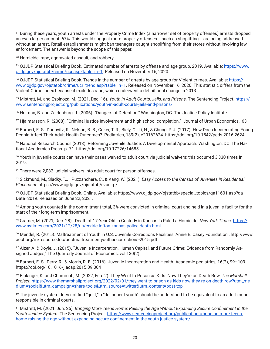<span id="page-24-0"></span><sup>31</sup> During these years, youth arrests under the Property Crime Index (a narrower set of property offenses) arrests dropped an even larger amount: 67%. This would suggest more property offenses -- such as shoplifting -- are being addressed without an arrest. Retail establishments might ban teenagers caught shoplifting from their stores without involving law enforcement. The answer is beyond the scope of this paper.

<sup>32</sup> Homicide, rape, aggravated assault, and robbery.

<sup>33</sup> OJJDP Statistical Briefing Book. Estimated number of arrests by offense and age group, 2019. Available: [https://www.](https://www.ojjdp.gov/ojstatbb/crime/ucr.asp?table_in=1) [ojjdp.gov/ojstatbb/crime/ucr.asp?table\\_in=1](https://www.ojjdp.gov/ojstatbb/crime/ucr.asp?table_in=1). Released on November 16, 2020.

34 OJJDP Statistical Briefing Book. Trends in the number of arrests by age group for Violent crimes. Available: [https://](https://www.ojjdp.gov/ojstatbb/crime/ucr_trend.asp?table_in=1) [www.ojjdp.gov/ojstatbb/crime/ucr\\_trend.asp?table\\_in=1.](https://www.ojjdp.gov/ojstatbb/crime/ucr_trend.asp?table_in=1) Released on November 16, 2020. This statistic differs from the Violent Crime Index because it excludes rape, which underwent a definitional change in 2013.

35 Mistrett, M. and Espinoza, M. (2021, Dec. 16). *Youth in Adult Courts, Jails, and Prisons.* The Sentencing Project. [https://](https://www.sentencingproject.org/publications/youth-in-adult-courts-jails-and-prisons/) [www.sentencingproject.org/publications/youth-in-adult-courts-jails-and-prisons/](https://www.sentencingproject.org/publications/youth-in-adult-courts-jails-and-prisons/)

36 Holman, B. and Zeidenburg, J. (2006). "Dangers of Detention." Washington, DC: The Justice Policy Institute.

37 Hjalmarsson, R. (2008). "Criminal justice involvement and high school completion." Journal of Urban Economics, 63

38 Barnert, E. S., Dudovitz, R., Nelson, B. B., Coker, T. R., Biely, C., Li, N., & Chung, P. J. (2017). How Does Incarcerating Young People Affect Their Adult Health Outcomes?. Pediatrics, 139(2), e20162624. https://doi.org/10.1542/peds.2016-2624

39 National Research Council (2013). Reforming Juvenile Justice: A Developmental Approach. Washington, DC: The National Academies Press. p. 71. https://doi.org/10.17226/14685.

40 Youth in juvenile courts can have their cases waived to adult court via judicial waivers; this occurred 3,330 times in 2019.

<sup>41</sup> There were 2,032 judicial waivers into adult court for person offenses.

42 Sickmund, M., Sladky, T.J., Puzzanchera, C., & Kang, W. (2021). *Easy Access to the Census of Juveniles in Residential Placement*. https://www.ojjdp.gov/ojstatbb/ezacjrp/

43 OJJDP Statistical Briefing Book. Online. Available: https://www.ojjdp.gov/ojstatbb/special\_topics/qa11601.asp?qa-Date=2019. Released on June 22, 2021.

44 Among vouth counted in the commitment total, 3% were convicted in criminal court and held in a juvenile facility for the start of their long-term imprisonment.

45 Cramer, M. (2021, Dec. 28). Death of 17-Year-Old in Custody in Kansas Is Ruled a Homicide. *New York Times.* [https://](https://www.nytimes.com/2021/12/28/us/cedric-lofton-kansas-police-death.html) [www.nytimes.com/2021/12/28/us/cedric-lofton-kansas-police-death.html](https://www.nytimes.com/2021/12/28/us/cedric-lofton-kansas-police-death.html)

46 Mendel, R. (2015). Maltreatment of Youth in U.S. Juvenile Corrections Facilities, Annie E. Casey Foundation., http://www. aecf.org/m/resourcedoc/aecfmaltreatmentyouthuscorrections-2015.pdf

47 Aizer, A. & Doyle, J. (2015). "Juvenile Incarceration, Human Capital, and Future Crime: Evidence from Randomly Assigned Judges," The Quarterly Journal of Economics, vol 130(2).

48 Barnert, E. S., Perry, R., & Morris, R. E. (2016). Juvenile Incarceration and Health. Academic pediatrics, 16(2), 99–109. https://doi.org/10.1016/j.acap.2015.09.004

<sup>49</sup> Blakinger, K. and Chammah, M. (2022, Feb. 2). They Went to Prison as Kids. Now They're on Death Row. *The Marshall Project.* [https://www.themarshallproject.org/2022/02/01/they-went-to-prison-as-kids-now-they-re-on-death-row?utm\\_me](https://www.themarshallproject.org/2022/02/01/they-went-to-prison-as-kids-now-they-re-on-death-row?utm_medium=social&utm_campaign=share-tools&utm_source=twitter&utm_content=post-top)[dium=social&utm\\_campaign=share-tools&utm\\_source=twitter&utm\\_content=post-top](https://www.themarshallproject.org/2022/02/01/they-went-to-prison-as-kids-now-they-re-on-death-row?utm_medium=social&utm_campaign=share-tools&utm_source=twitter&utm_content=post-top)

<sup>50</sup> The juvenile system does not find "quilt;" a "delinguent youth" should be understood to be equivalent to an adult found responsible in criminal courts.

51 Mistrett, M. (2021, Jun. 25). *Bringing More Teens Home: Raising the Age Without Expanding Secure Confinement in the Youth Justice System*. The Sentencing Project. [https://www.sentencingproject.org/publications/bringing-more-teens](https://www.sentencingproject.org/publications/bringing-more-teens-home-raising-the-age-without-expanding-secure-confinement-in-the-youth-justice-system/)[home-raising-the-age-without-expanding-secure-confinement-in-the-youth-justice-system/](https://www.sentencingproject.org/publications/bringing-more-teens-home-raising-the-age-without-expanding-secure-confinement-in-the-youth-justice-system/)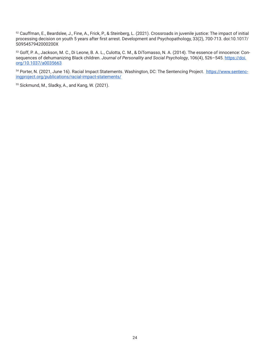<span id="page-25-0"></span>52 Cauffman, E., Beardslee, J., Fine, A., Frick, P., & Steinberg, L. (2021). Crossroads in juvenile justice: The impact of initial processing decision on youth 5 years after first arrest. Development and Psychopathology, 33(2), 700-713. doi:10.1017/ S095457942000200X

53 Goff, P. A., Jackson, M. C., Di Leone, B. A. L., Culotta, C. M., & DiTomasso, N. A. (2014). The essence of innocence: Consequences of dehumanizing Black children. *Journal of Personality and Social Psychology*, 106(4), 526-545. [https://doi.](https://doi.org/10.1037/a0035663) [org/10.1037/a0035663](https://doi.org/10.1037/a0035663)

54 Porter, N. (2021, June 16). Racial Impact Statements. Washington, DC: The Sentencing Project. [https://www.sentenc](https://www.sentencingproject.org/publications/racial-impact-statements/)[ingproject.org/publications/racial-impact-statements/](https://www.sentencingproject.org/publications/racial-impact-statements/)

55 Sickmund, M., Sladky, A., and Kang, W. (2021).